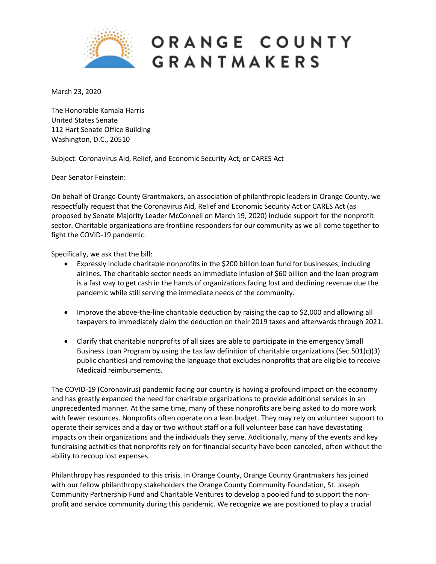

## ORANGE COUNTY **GRANTMAKERS**

March 23, 2020

The Honorable Kamala Harris United States Senate 112 Hart Senate Office Building Washington, D.C., 20510

Subject: Coronavirus Aid, Relief, and Economic Security Act, or CARES Act

Dear Senator Feinstein:

On behalf of Orange County Grantmakers, an association of philanthropic leaders in Orange County, we respectfully request that the Coronavirus Aid, Relief and Economic Security Act or CARES Act (as proposed by Senate Majority Leader McConnell on March 19, 2020) include support for the nonprofit sector. Charitable organizations are frontline responders for our community as we all come together to fight the COVID-19 pandemic.

Specifically, we ask that the bill:

- Expressly include charitable nonprofits in the \$200 billion loan fund for businesses, including airlines. The charitable sector needs an immediate infusion of \$60 billion and the loan program is a fast way to get cash in the hands of organizations facing lost and declining revenue due the pandemic while still serving the immediate needs of the community.
- Improve the above-the-line charitable deduction by raising the cap to \$2,000 and allowing all taxpayers to immediately claim the deduction on their 2019 taxes and afterwards through 2021.
- Clarify that charitable nonprofits of all sizes are able to participate in the emergency Small Business Loan Program by using the tax law definition of charitable organizations (Sec.501(c)(3) public charities) and removing the language that excludes nonprofits that are eligible to receive Medicaid reimbursements.

The COVID-19 (Coronavirus) pandemic facing our country is having a profound impact on the economy and has greatly expanded the need for charitable organizations to provide additional services in an unprecedented manner. At the same time, many of these nonprofits are being asked to do more work with fewer resources. Nonprofits often operate on a lean budget. They may rely on volunteer support to operate their services and a day or two without staff or a full volunteer base can have devastating impacts on their organizations and the individuals they serve. Additionally, many of the events and key fundraising activities that nonprofits rely on for financial security have been canceled, often without the ability to recoup lost expenses.

Philanthropy has responded to this crisis. In Orange County, Orange County Grantmakers has joined with our fellow philanthropy stakeholders the Orange County Community Foundation, St. Joseph Community Partnership Fund and Charitable Ventures to develop a pooled fund to support the nonprofit and service community during this pandemic. We recognize we are positioned to play a crucial